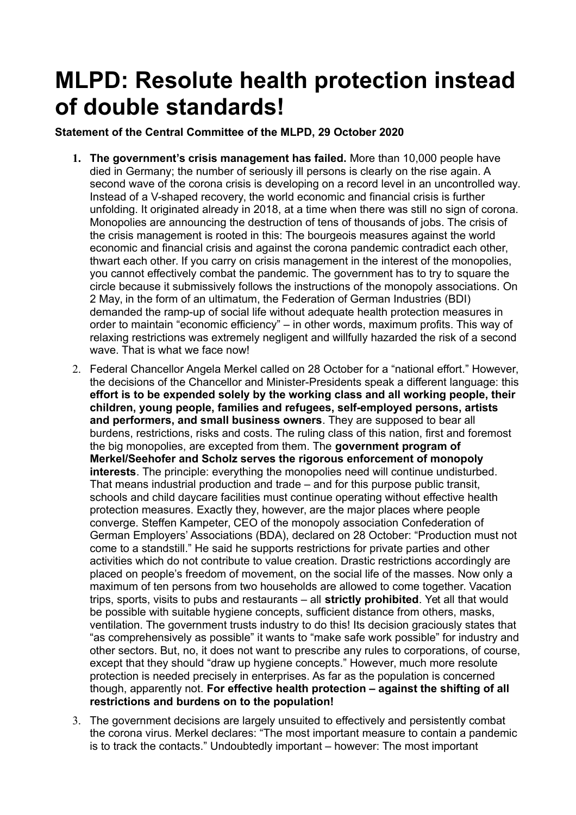## **MLPD: Resolute health protection instead of double standards!**

**Statement of the Central Committee of the MLPD, 29 October 2020**

- **1. The government's crisis management has failed.** More than 10,000 people have died in Germany; the number of seriously ill persons is clearly on the rise again. A second wave of the corona crisis is developing on a record level in an uncontrolled way. Instead of a V-shaped recovery, the world economic and financial crisis is further unfolding. It originated already in 2018, at a time when there was still no sign of corona. Monopolies are announcing the destruction of tens of thousands of jobs. The crisis of the crisis management is rooted in this: The bourgeois measures against the world economic and financial crisis and against the corona pandemic contradict each other, thwart each other. If you carry on crisis management in the interest of the monopolies, you cannot effectively combat the pandemic. The government has to try to square the circle because it submissively follows the instructions of the monopoly associations. On 2 May, in the form of an ultimatum, the Federation of German Industries (BDI) demanded the ramp-up of social life without adequate health protection measures in order to maintain "economic efficiency" – in other words, maximum profits. This way of relaxing restrictions was extremely negligent and willfully hazarded the risk of a second wave. That is what we face now!
- 2. Federal Chancellor Angela Merkel called on 28 October for a "national effort." However, the decisions of the Chancellor and Minister-Presidents speak a different language: this **effort is to be expended solely by the working class and all working people, their children, young people, families and refugees, self-employed persons, artists and performers, and small business owners**. They are supposed to bear all burdens, restrictions, risks and costs. The ruling class of this nation, first and foremost the big monopolies, are excepted from them. The **government program of Merkel/Seehofer and Scholz serves the rigorous enforcement of monopoly interests**. The principle: everything the monopolies need will continue undisturbed. That means industrial production and trade – and for this purpose public transit, schools and child daycare facilities must continue operating without effective health protection measures. Exactly they, however, are the major places where people converge. Steffen Kampeter, CEO of the monopoly association Confederation of German Employers' Associations (BDA), declared on 28 October: "Production must not come to a standstill." He said he supports restrictions for private parties and other activities which do not contribute to value creation. Drastic restrictions accordingly are placed on people's freedom of movement, on the social life of the masses. Now only a maximum of ten persons from two households are allowed to come together. Vacation trips, sports, visits to pubs and restaurants – all **strictly prohibited**. Yet all that would be possible with suitable hygiene concepts, sufficient distance from others, masks, ventilation. The government trusts industry to do this! Its decision graciously states that "as comprehensively as possible" it wants to "make safe work possible" for industry and other sectors. But, no, it does not want to prescribe any rules to corporations, of course, except that they should "draw up hygiene concepts." However, much more resolute protection is needed precisely in enterprises. As far as the population is concerned though, apparently not. **For effective health protection – against the shifting of all restrictions and burdens on to the population!**
- 3. The government decisions are largely unsuited to effectively and persistently combat the corona virus. Merkel declares: "The most important measure to contain a pandemic is to track the contacts." Undoubtedly important – however: The most important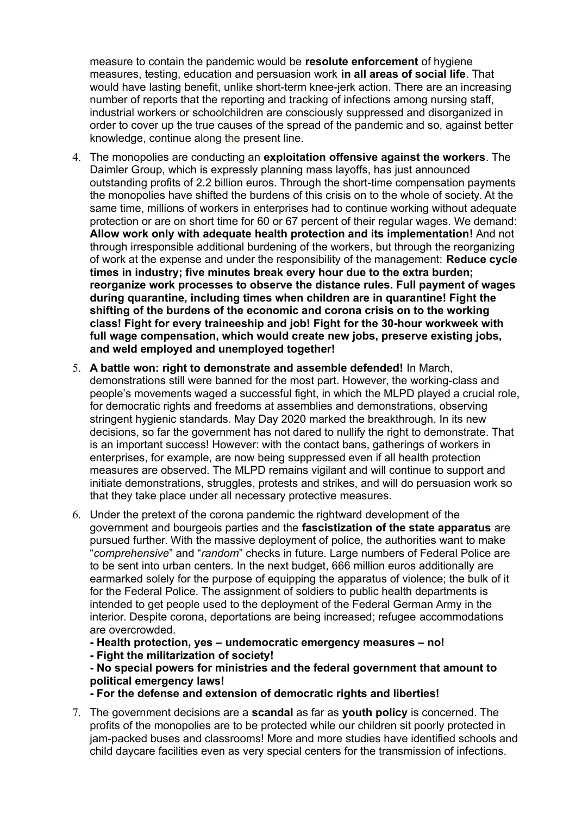measure to contain the pandemic would be **resolute enforcement** of hygiene measures, testing, education and persuasion work **in all areas of social life**. That would have lasting benefit, unlike short-term knee-jerk action. There are an increasing number of reports that the reporting and tracking of infections among nursing staff, industrial workers or schoolchildren are consciously suppressed and disorganized in order to cover up the true causes of the spread of the pandemic and so, against better knowledge, continue along the present line.

- 4. The monopolies are conducting an **exploitation offensive against the workers**. The Daimler Group, which is expressly planning mass layoffs, has just announced outstanding profits of 2.2 billion euros. Through the short-time compensation payments the monopolies have shifted the burdens of this crisis on to the whole of society. At the same time, millions of workers in enterprises had to continue working without adequate protection or are on short time for 60 or 67 percent of their regular wages. We demand: **Allow work only with adequate health protection and its implementation!** And not through irresponsible additional burdening of the workers, but through the reorganizing of work at the expense and under the responsibility of the management: **Reduce cycle times in industry; five minutes break every hour due to the extra burden; reorganize work processes to observe the distance rules. Full payment of wages during quarantine, including times when children are in quarantine! Fight the shifting of the burdens of the economic and corona crisis on to the working class! Fight for every traineeship and job! Fight for the 30-hour workweek with full wage compensation, which would create new jobs, preserve existing jobs, and weld employed and unemployed together!**
- 5. **A battle won: right to demonstrate and assemble defended!** In March, demonstrations still were banned for the most part. However, the working-class and people's movements waged a successful fight, in which the MLPD played a crucial role, for democratic rights and freedoms at assemblies and demonstrations, observing stringent hygienic standards. May Day 2020 marked the breakthrough. In its new decisions, so far the government has not dared to nullify the right to demonstrate. That is an important success! However: with the contact bans, gatherings of workers in enterprises, for example, are now being suppressed even if all health protection measures are observed. The MLPD remains vigilant and will continue to support and initiate demonstrations, struggles, protests and strikes, and will do persuasion work so that they take place under all necessary protective measures.
- 6. Under the pretext of the corona pandemic the rightward development of the government and bourgeois parties and the **fascistization of the state apparatus** are pursued further. With the massive deployment of police, the authorities want to make "*comprehensive*" and "*random*" checks in future. Large numbers of Federal Police are to be sent into urban centers. In the next budget, 666 million euros additionally are earmarked solely for the purpose of equipping the apparatus of violence; the bulk of it for the Federal Police. The assignment of soldiers to public health departments is intended to get people used to the deployment of the Federal German Army in the interior. Despite corona, deportations are being increased; refugee accommodations are overcrowded.

**- Health protection, yes – undemocratic emergency measures – no!**

**- Fight the militarization of society!**

**- No special powers for ministries and the federal government that amount to political emergency laws!**

**- For the defense and extension of democratic rights and liberties!**

7. The government decisions are a **scandal** as far as **youth policy** is concerned. The profits of the monopolies are to be protected while our children sit poorly protected in jam-packed buses and classrooms! More and more studies have identified schools and child daycare facilities even as very special centers for the transmission of infections.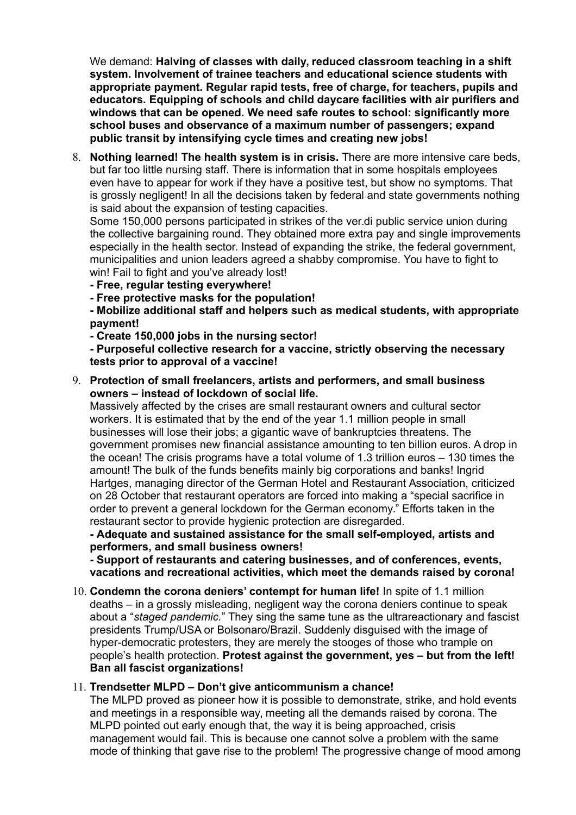We demand: **Halving of classes with daily, reduced classroom teaching in a shift system. Involvement of trainee teachers and educational science students with appropriate payment. Regular rapid tests, free of charge, for teachers, pupils and educators. Equipping of schools and child daycare facilities with air purifiers and windows that can be opened. We need safe routes to school: significantly more school buses and observance of a maximum number of passengers; expand public transit by intensifying cycle times and creating new jobs!**

8. **Nothing learned! The health system is in crisis.** There are more intensive care beds, but far too little nursing staff. There is information that in some hospitals employees even have to appear for work if they have a positive test, but show no symptoms. That is grossly negligent! In all the decisions taken by federal and state governments nothing is said about the expansion of testing capacities.

Some 150,000 persons participated in strikes of the ver.di public service union during the collective bargaining round. They obtained more extra pay and single improvements especially in the health sector. Instead of expanding the strike, the federal government, municipalities and union leaders agreed a shabby compromise. You have to fight to win! Fail to fight and you've already lost!

- **Free, regular testing everywhere!**
- **Free protective masks for the population!**

**- Mobilize additional staff and helpers such as medical students, with appropriate payment!**

**- Create 150,000 jobs in the nursing sector!**

**- Purposeful collective research for a vaccine, strictly observing the necessary tests prior to approval of a vaccine!**

9. **Protection of small freelancers, artists and performers, and small business owners – instead of lockdown of social life.**

Massively affected by the crises are small restaurant owners and cultural sector workers. It is estimated that by the end of the year 1.1 million people in small businesses will lose their jobs; a gigantic wave of bankruptcies threatens. The government promises new financial assistance amounting to ten billion euros. A drop in the ocean! The crisis programs have a total volume of 1.3 trillion euros – 130 times the amount! The bulk of the funds benefits mainly big corporations and banks! Ingrid Hartges, managing director of the German Hotel and Restaurant Association, criticized on 28 October that restaurant operators are forced into making a "special sacrifice in order to prevent a general lockdown for the German economy." Efforts taken in the restaurant sector to provide hygienic protection are disregarded.

**- Adequate and sustained assistance for the small self-employed, artists and performers, and small business owners!**

**- Support of restaurants and catering businesses, and of conferences, events, vacations and recreational activities, which meet the demands raised by corona!**

10. **Condemn the corona deniers' contempt for human life!** In spite of 1.1 million deaths – in a grossly misleading, negligent way the corona deniers continue to speak about a "*staged pandemic.*" They sing the same tune as the ultrareactionary and fascist presidents Trump/USA or Bolsonaro/Brazil. Suddenly disguised with the image of hyper-democratic protesters, they are merely the stooges of those who trample on people's health protection. **Protest against the government, yes – but from the left! Ban all fascist organizations!**

## 11. **Trendsetter MLPD – Don't give anticommunism a chance!**

The MLPD proved as pioneer how it is possible to demonstrate, strike, and hold events and meetings in a responsible way, meeting all the demands raised by corona. The MLPD pointed out early enough that, the way it is being approached, crisis management would fail. This is because one cannot solve a problem with the same mode of thinking that gave rise to the problem! The progressive change of mood among